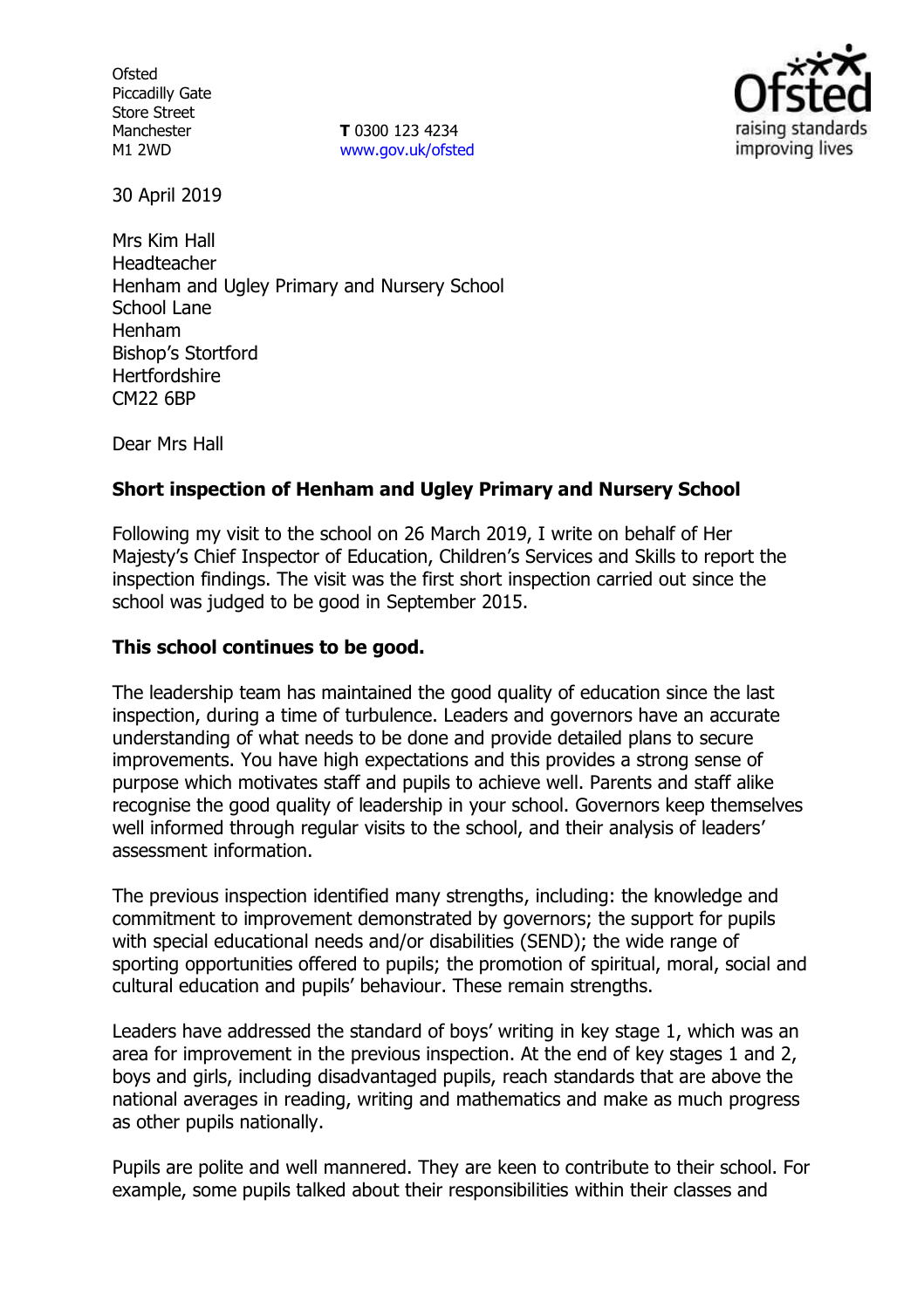**Ofsted** Piccadilly Gate Store Street **Manchester** M1 2WD

**T** 0300 123 4234 [www.gov.uk/ofsted](http://www.gov.uk/ofsted)



30 April 2019

Mrs Kim Hall Headteacher Henham and Ugley Primary and Nursery School School Lane Henham Bishop's Stortford **Hertfordshire** CM22 6BP

Dear Mrs Hall

### **Short inspection of Henham and Ugley Primary and Nursery School**

Following my visit to the school on 26 March 2019, I write on behalf of Her Majesty's Chief Inspector of Education, Children's Services and Skills to report the inspection findings. The visit was the first short inspection carried out since the school was judged to be good in September 2015.

#### **This school continues to be good.**

The leadership team has maintained the good quality of education since the last inspection, during a time of turbulence. Leaders and governors have an accurate understanding of what needs to be done and provide detailed plans to secure improvements. You have high expectations and this provides a strong sense of purpose which motivates staff and pupils to achieve well. Parents and staff alike recognise the good quality of leadership in your school. Governors keep themselves well informed through regular visits to the school, and their analysis of leaders' assessment information.

The previous inspection identified many strengths, including: the knowledge and commitment to improvement demonstrated by governors; the support for pupils with special educational needs and/or disabilities (SEND); the wide range of sporting opportunities offered to pupils; the promotion of spiritual, moral, social and cultural education and pupils' behaviour. These remain strengths.

Leaders have addressed the standard of boys' writing in key stage 1, which was an area for improvement in the previous inspection. At the end of key stages 1 and 2, boys and girls, including disadvantaged pupils, reach standards that are above the national averages in reading, writing and mathematics and make as much progress as other pupils nationally.

Pupils are polite and well mannered. They are keen to contribute to their school. For example, some pupils talked about their responsibilities within their classes and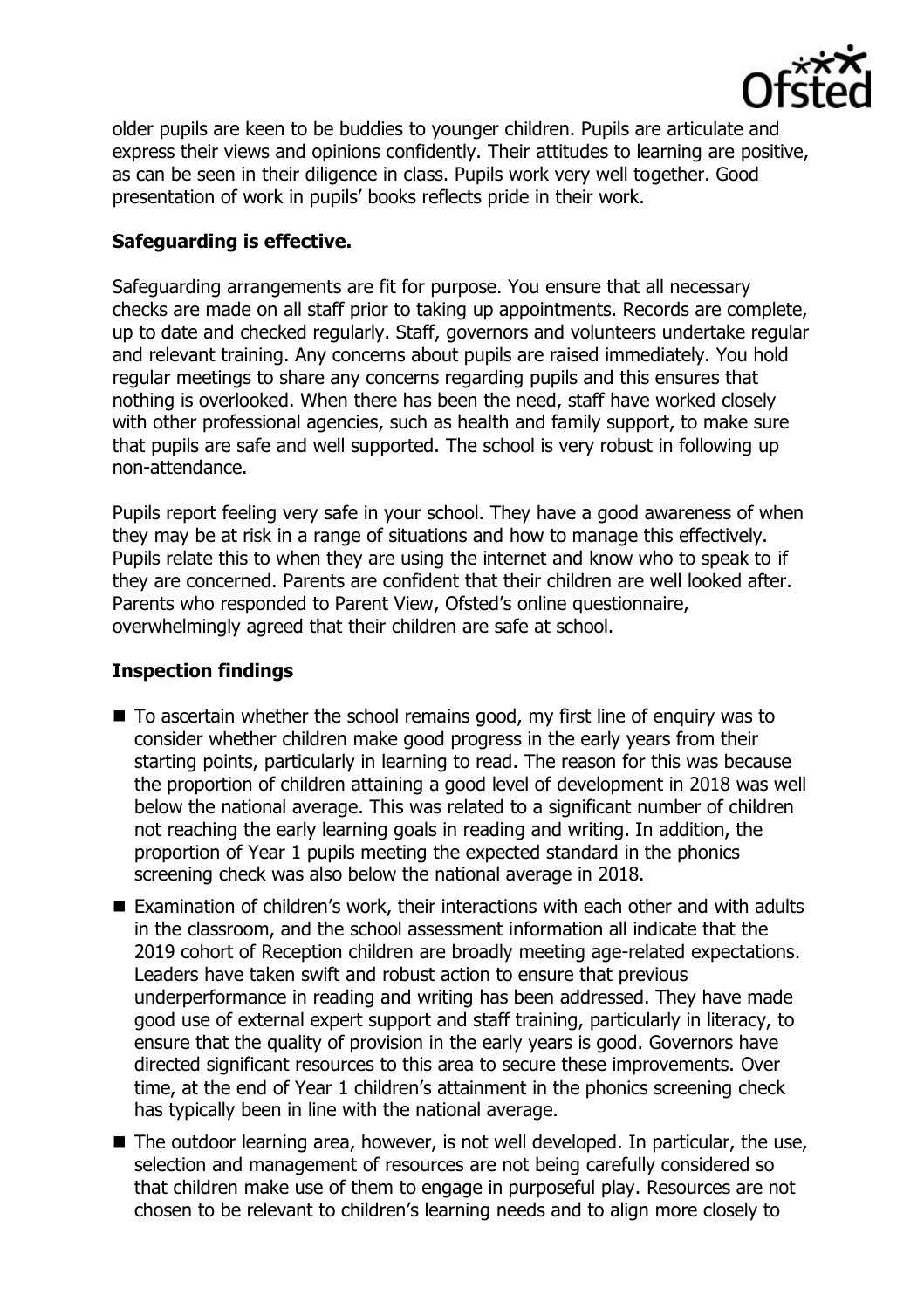

older pupils are keen to be buddies to younger children. Pupils are articulate and express their views and opinions confidently. Their attitudes to learning are positive, as can be seen in their diligence in class. Pupils work very well together. Good presentation of work in pupils' books reflects pride in their work.

# **Safeguarding is effective.**

Safeguarding arrangements are fit for purpose. You ensure that all necessary checks are made on all staff prior to taking up appointments. Records are complete, up to date and checked regularly. Staff, governors and volunteers undertake regular and relevant training. Any concerns about pupils are raised immediately. You hold regular meetings to share any concerns regarding pupils and this ensures that nothing is overlooked. When there has been the need, staff have worked closely with other professional agencies, such as health and family support, to make sure that pupils are safe and well supported. The school is very robust in following up non-attendance.

Pupils report feeling very safe in your school. They have a good awareness of when they may be at risk in a range of situations and how to manage this effectively. Pupils relate this to when they are using the internet and know who to speak to if they are concerned. Parents are confident that their children are well looked after. Parents who responded to Parent View, Ofsted's online questionnaire, overwhelmingly agreed that their children are safe at school.

### **Inspection findings**

- To ascertain whether the school remains good, my first line of enquiry was to consider whether children make good progress in the early years from their starting points, particularly in learning to read. The reason for this was because the proportion of children attaining a good level of development in 2018 was well below the national average. This was related to a significant number of children not reaching the early learning goals in reading and writing. In addition, the proportion of Year 1 pupils meeting the expected standard in the phonics screening check was also below the national average in 2018.
- Examination of children's work, their interactions with each other and with adults in the classroom, and the school assessment information all indicate that the 2019 cohort of Reception children are broadly meeting age-related expectations. Leaders have taken swift and robust action to ensure that previous underperformance in reading and writing has been addressed. They have made good use of external expert support and staff training, particularly in literacy, to ensure that the quality of provision in the early years is good. Governors have directed significant resources to this area to secure these improvements. Over time, at the end of Year 1 children's attainment in the phonics screening check has typically been in line with the national average.
- The outdoor learning area, however, is not well developed. In particular, the use, selection and management of resources are not being carefully considered so that children make use of them to engage in purposeful play. Resources are not chosen to be relevant to children's learning needs and to align more closely to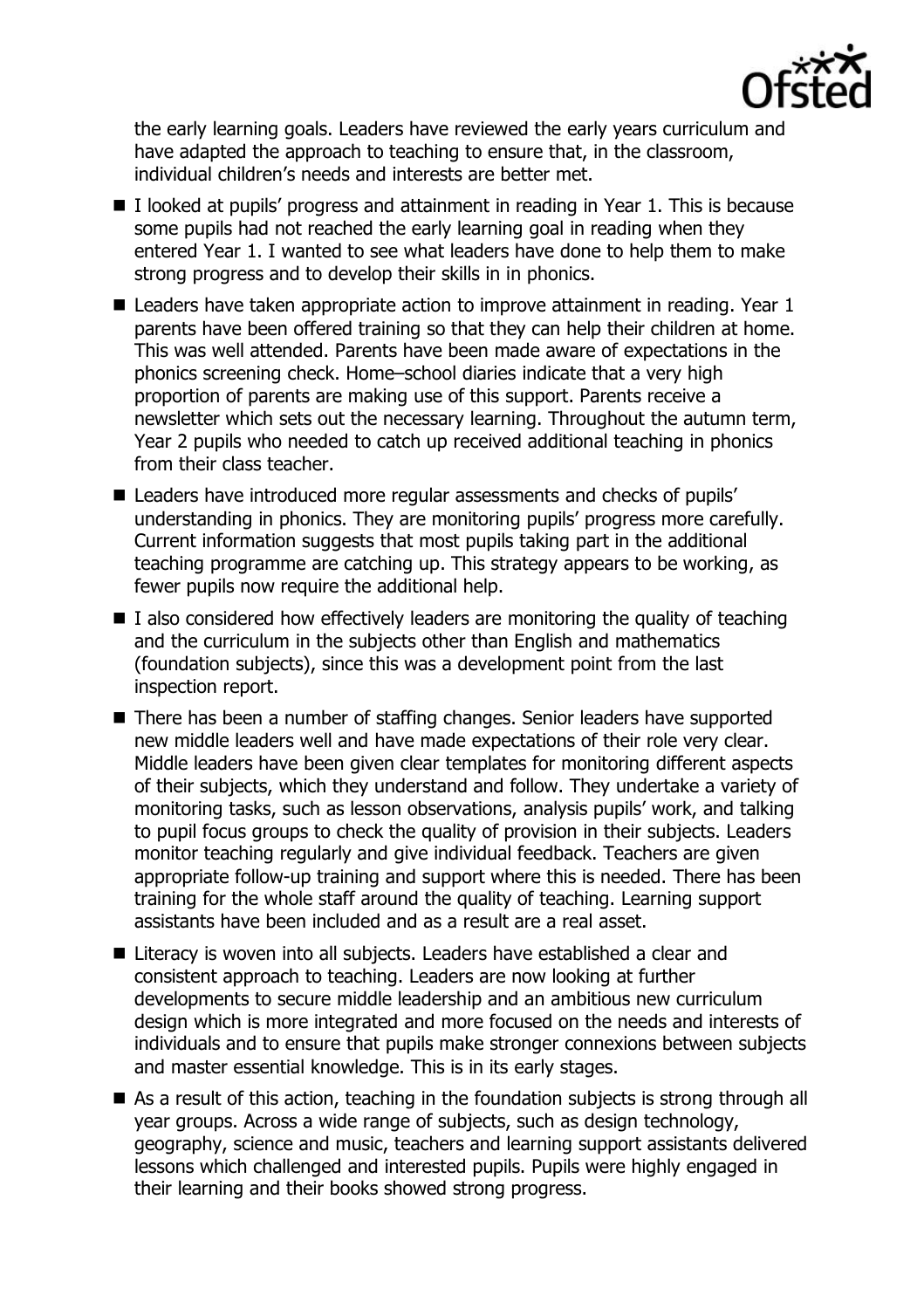

the early learning goals. Leaders have reviewed the early years curriculum and have adapted the approach to teaching to ensure that, in the classroom, individual children's needs and interests are better met.

- I looked at pupils' progress and attainment in reading in Year 1. This is because some pupils had not reached the early learning goal in reading when they entered Year 1. I wanted to see what leaders have done to help them to make strong progress and to develop their skills in in phonics.
- Leaders have taken appropriate action to improve attainment in reading. Year 1 parents have been offered training so that they can help their children at home. This was well attended. Parents have been made aware of expectations in the phonics screening check. Home–school diaries indicate that a very high proportion of parents are making use of this support. Parents receive a newsletter which sets out the necessary learning. Throughout the autumn term, Year 2 pupils who needed to catch up received additional teaching in phonics from their class teacher.
- Leaders have introduced more regular assessments and checks of pupils' understanding in phonics. They are monitoring pupils' progress more carefully. Current information suggests that most pupils taking part in the additional teaching programme are catching up. This strategy appears to be working, as fewer pupils now require the additional help.
- $\blacksquare$  I also considered how effectively leaders are monitoring the quality of teaching and the curriculum in the subjects other than English and mathematics (foundation subjects), since this was a development point from the last inspection report.
- There has been a number of staffing changes. Senior leaders have supported new middle leaders well and have made expectations of their role very clear. Middle leaders have been given clear templates for monitoring different aspects of their subjects, which they understand and follow. They undertake a variety of monitoring tasks, such as lesson observations, analysis pupils' work, and talking to pupil focus groups to check the quality of provision in their subjects. Leaders monitor teaching regularly and give individual feedback. Teachers are given appropriate follow-up training and support where this is needed. There has been training for the whole staff around the quality of teaching. Learning support assistants have been included and as a result are a real asset.
- Literacy is woven into all subjects. Leaders have established a clear and consistent approach to teaching. Leaders are now looking at further developments to secure middle leadership and an ambitious new curriculum design which is more integrated and more focused on the needs and interests of individuals and to ensure that pupils make stronger connexions between subjects and master essential knowledge. This is in its early stages.
- As a result of this action, teaching in the foundation subjects is strong through all year groups. Across a wide range of subjects, such as design technology, geography, science and music, teachers and learning support assistants delivered lessons which challenged and interested pupils. Pupils were highly engaged in their learning and their books showed strong progress.